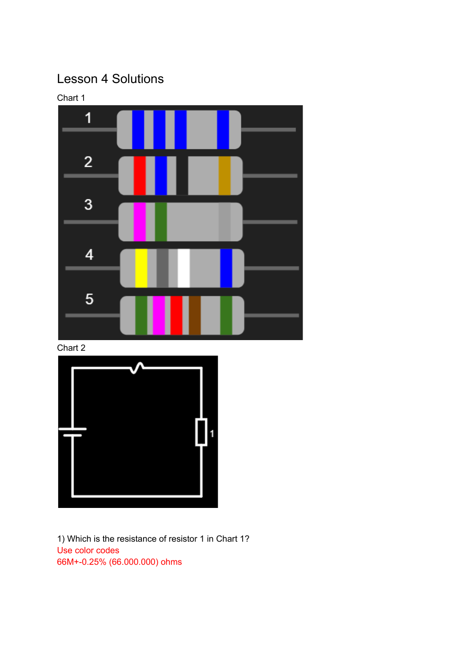## Lesson 4 Solutions



Chart 2



1) Which is the resistance of resistor 1 in Chart 1? Use color codes 66M+-0.25% (66.000.000) ohms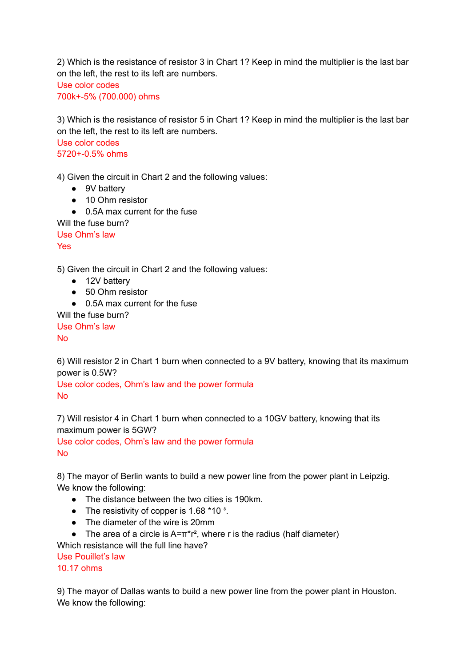2) Which is the resistance of resistor 3 in Chart 1? Keep in mind the multiplier is the last bar on the left, the rest to its left are numbers.

Use color codes 700k+-5% (700.000) ohms

3) Which is the resistance of resistor 5 in Chart 1? Keep in mind the multiplier is the last bar on the left, the rest to its left are numbers.

Use color codes 5720+-0.5% ohms

4) Given the circuit in Chart 2 and the following values:

- 9V battery
- 10 Ohm resistor
- 0.5A max current for the fuse

Will the fuse burn?

Use Ohm's law

Yes

5) Given the circuit in Chart 2 and the following values:

- 12V battery
- 50 Ohm resistor
- 0.5A max current for the fuse

Will the fuse burn? Use Ohm's law No

6) Will resistor 2 in Chart 1 burn when connected to a 9V battery, knowing that its maximum power is 0.5W?

Use color codes, Ohm's law and the power formula No

7) Will resistor 4 in Chart 1 burn when connected to a 10GV battery, knowing that its maximum power is 5GW?

Use color codes, Ohm's law and the power formula No

8) The mayor of Berlin wants to build a new power line from the power plant in Leipzig. We know the following:

- The distance between the two cities is 190km.
- The resistivity of copper is  $1.68 * 10^{-8}$ .
- The diameter of the wire is 20mm
- The area of a circle is  $A=\pi^*r^2$ , where r is the radius (half diameter)

Which resistance will the full line have?

Use Pouillet's law

10.17 ohms

9) The mayor of Dallas wants to build a new power line from the power plant in Houston. We know the following: